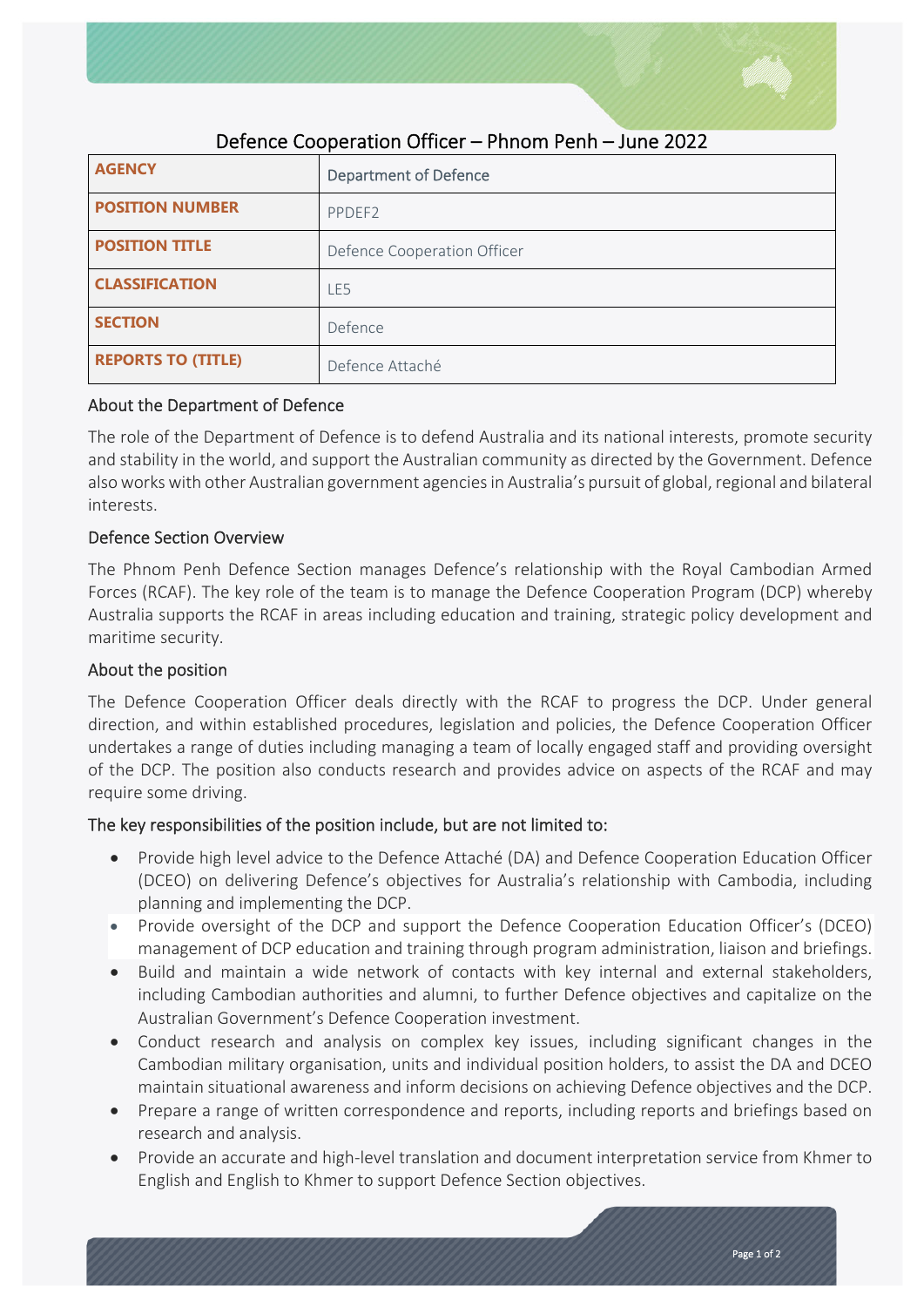

| <b>AGENCY</b>             | <b>Department of Defence</b> |
|---------------------------|------------------------------|
| <b>POSITION NUMBER</b>    | PPDEF <sub>2</sub>           |
| <b>POSITION TITLE</b>     | Defence Cooperation Officer  |
| <b>CLASSIFICATION</b>     | LE5                          |
| <b>SECTION</b>            | Defence                      |
| <b>REPORTS TO (TITLE)</b> | Defence Attaché              |

# Defence Cooperation Officer – Phnom Penh – June 2022

## About the Department of Defence

The role of the Department of Defence is to defend Australia and its national interests, promote security and stability in the world, and support the Australian community as directed by the Government. Defence also works with other Australian government agencies in Australia's pursuit of global, regional and bilateral interests.

## Defence Section Overview

The Phnom Penh Defence Section manages Defence's relationship with the Royal Cambodian Armed Forces (RCAF). The key role of the team is to manage the Defence Cooperation Program (DCP) whereby Australia supports the RCAF in areas including education and training, strategic policy development and maritime security.

# About the position

The Defence Cooperation Officer deals directly with the RCAF to progress the DCP. Under general direction, and within established procedures, legislation and policies, the Defence Cooperation Officer undertakes a range of duties including managing a team of locally engaged staff and providing oversight of the DCP. The position also conducts research and provides advice on aspects of the RCAF and may require some driving.

# The key responsibilities of the position include, but are not limited to:

- Provide high level advice to the Defence Attaché (DA) and Defence Cooperation Education Officer (DCEO) on delivering Defence's objectives for Australia's relationship with Cambodia, including planning and implementing the DCP.
- Provide oversight of the DCP and support the Defence Cooperation Education Officer's (DCEO) management of DCP education and training through program administration, liaison and briefings.
- Build and maintain a wide network of contacts with key internal and external stakeholders, including Cambodian authorities and alumni, to further Defence objectives and capitalize on the Australian Government's Defence Cooperation investment.
- Conduct research and analysis on complex key issues, including significant changes in the Cambodian military organisation, units and individual position holders, to assist the DA and DCEO maintain situational awareness and inform decisions on achieving Defence objectives and the DCP.
- Prepare a range of written correspondence and reports, including reports and briefings based on research and analysis.
- Provide an accurate and high-level translation and document interpretation service from Khmer to English and English to Khmer to support Defence Section objectives.